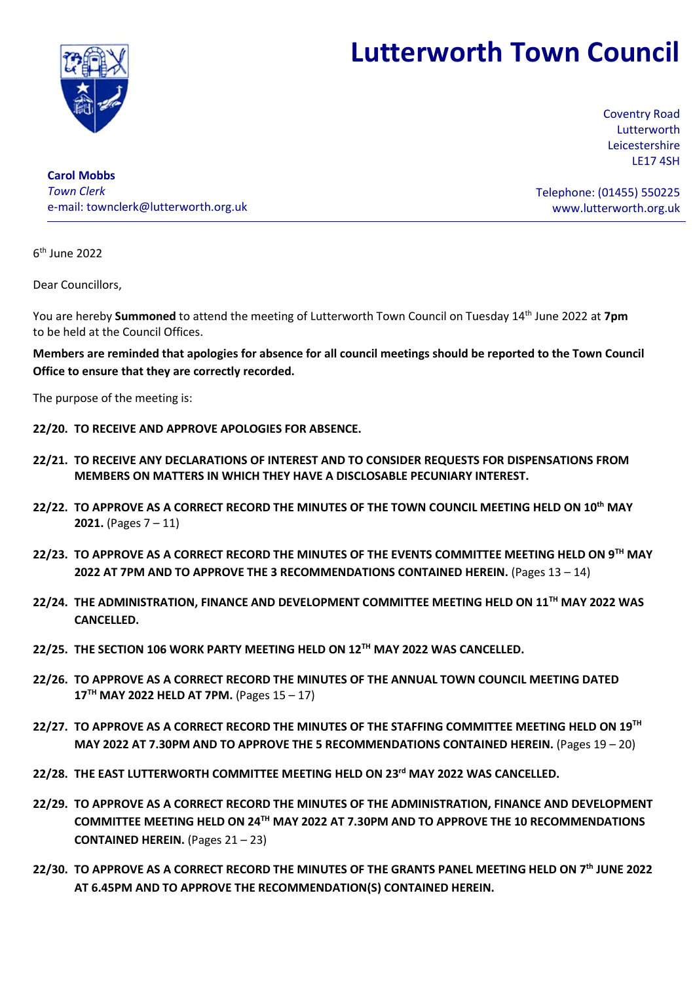# Lutterworth Town Council



Coventry Road Lutterworth Leicestershire LE17 4SH

Carol Mobbs Town Clerk e-mail: townclerk@lutterworth.org.uk

Telephone: (01455) 550225 www.lutterworth.org.uk

6 th June 2022

Dear Councillors,

You are hereby Summoned to attend the meeting of Lutterworth Town Council on Tuesday 14<sup>th</sup> June 2022 at 7pm to be held at the Council Offices.

Members are reminded that apologies for absence for all council meetings should be reported to the Town Council Office to ensure that they are correctly recorded.

The purpose of the meeting is:

- 22/20. TO RECEIVE AND APPROVE APOLOGIES FOR ABSENCE.
- 22/21. TO RECEIVE ANY DECLARATIONS OF INTEREST AND TO CONSIDER REQUESTS FOR DISPENSATIONS FROM MEMBERS ON MATTERS IN WHICH THEY HAVE A DISCLOSABLE PECUNIARY INTEREST.
- 22/22. TO APPROVE AS A CORRECT RECORD THE MINUTES OF THE TOWN COUNCIL MEETING HELD ON 10<sup>th</sup> MAY **2021.** (Pages  $7 - 11$ )
- 22/23. TO APPROVE AS A CORRECT RECORD THE MINUTES OF THE EVENTS COMMITTEE MEETING HELD ON 9TH MAY 2022 AT 7PM AND TO APPROVE THE 3 RECOMMENDATIONS CONTAINED HEREIN. (Pages 13 – 14)
- 22/24. THE ADMINISTRATION, FINANCE AND DEVELOPMENT COMMITTEE MEETING HELD ON 11TH MAY 2022 WAS CANCELLED.
- 22/25. THE SECTION 106 WORK PARTY MEETING HELD ON 12TH MAY 2022 WAS CANCELLED.
- 22/26. TO APPROVE AS A CORRECT RECORD THE MINUTES OF THE ANNUAL TOWN COUNCIL MEETING DATED  $17<sup>TH</sup>$  MAY 2022 HELD AT 7PM. (Pages  $15 - 17$ )
- 22/27. TO APPROVE AS A CORRECT RECORD THE MINUTES OF THE STAFFING COMMITTEE MEETING HELD ON 19<sup>TH</sup> MAY 2022 AT 7.30PM AND TO APPROVE THE 5 RECOMMENDATIONS CONTAINED HEREIN. (Pages 19 – 20)
- 22/28. THE EAST LUTTERWORTH COMMITTEE MEETING HELD ON 23rd MAY 2022 WAS CANCELLED.
- 22/29. TO APPROVE AS A CORRECT RECORD THE MINUTES OF THE ADMINISTRATION, FINANCE AND DEVELOPMENT COMMITTEE MEETING HELD ON 24TH MAY 2022 AT 7.30PM AND TO APPROVE THE 10 RECOMMENDATIONS CONTAINED HEREIN. (Pages 21 – 23)
- 22/30. TO APPROVE AS A CORRECT RECORD THE MINUTES OF THE GRANTS PANEL MEETING HELD ON 7<sup>th</sup> JUNE 2022 AT 6.45PM AND TO APPROVE THE RECOMMENDATION(S) CONTAINED HEREIN.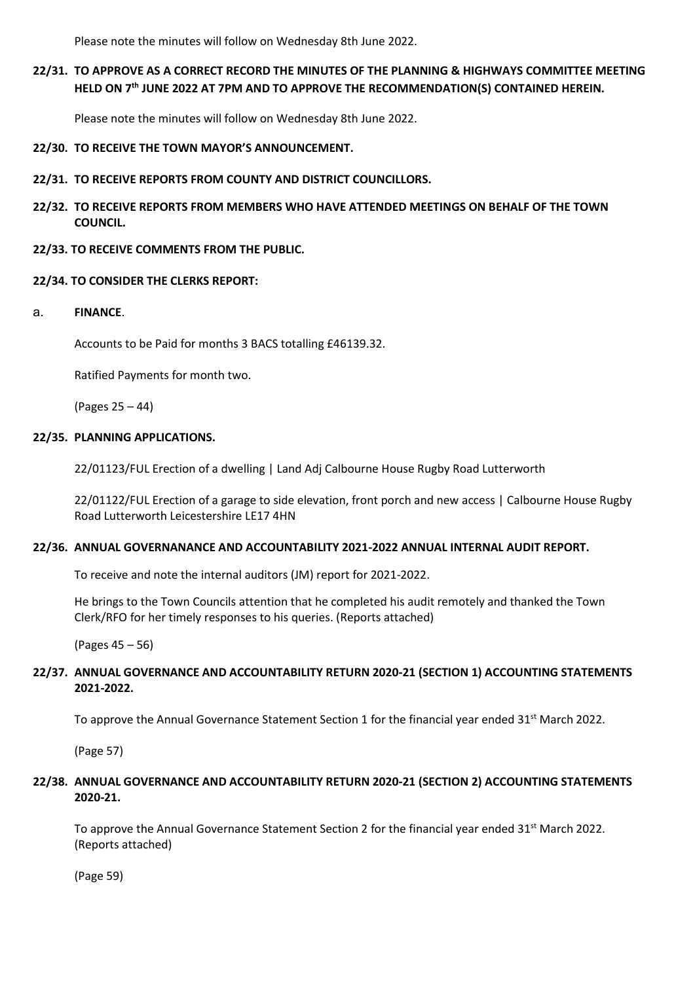Please note the minutes will follow on Wednesday 8th June 2022.

# 22/31. TO APPROVE AS A CORRECT RECORD THE MINUTES OF THE PLANNING & HIGHWAYS COMMITTEE MEETING HELD ON 7<sup>th</sup> JUNE 2022 AT 7PM AND TO APPROVE THE RECOMMENDATION(S) CONTAINED HEREIN.

Please note the minutes will follow on Wednesday 8th June 2022.

22/30. TO RECEIVE THE TOWN MAYOR'S ANNOUNCEMENT.

- 22/31. TO RECEIVE REPORTS FROM COUNTY AND DISTRICT COUNCILLORS.
- 22/32. TO RECEIVE REPORTS FROM MEMBERS WHO HAVE ATTENDED MEETINGS ON BEHALF OF THE TOWN COUNCIL.
- 22/33. TO RECEIVE COMMENTS FROM THE PUBLIC.

### 22/34. TO CONSIDER THE CLERKS REPORT:

a. FINANCE.

Accounts to be Paid for months 3 BACS totalling £46139.32.

Ratified Payments for month two.

(Pages 25 – 44)

### 22/35. PLANNING APPLICATIONS.

22/01123/FUL Erection of a dwelling | Land Adj Calbourne House Rugby Road Lutterworth

22/01122/FUL Erection of a garage to side elevation, front porch and new access | Calbourne House Rugby Road Lutterworth Leicestershire LE17 4HN

## 22/36. ANNUAL GOVERNANANCE AND ACCOUNTABILITY 2021-2022 ANNUAL INTERNAL AUDIT REPORT.

To receive and note the internal auditors (JM) report for 2021-2022.

He brings to the Town Councils attention that he completed his audit remotely and thanked the Town Clerk/RFO for her timely responses to his queries. (Reports attached)

(Pages 45 – 56)

## 22/37. ANNUAL GOVERNANCE AND ACCOUNTABILITY RETURN 2020-21 (SECTION 1) ACCOUNTING STATEMENTS 2021-2022.

To approve the Annual Governance Statement Section 1 for the financial year ended  $31^{st}$  March 2022.

(Page 57)

## 22/38. ANNUAL GOVERNANCE AND ACCOUNTABILITY RETURN 2020-21 (SECTION 2) ACCOUNTING STATEMENTS 2020-21.

To approve the Annual Governance Statement Section 2 for the financial year ended  $31^{st}$  March 2022. (Reports attached)

(Page 59)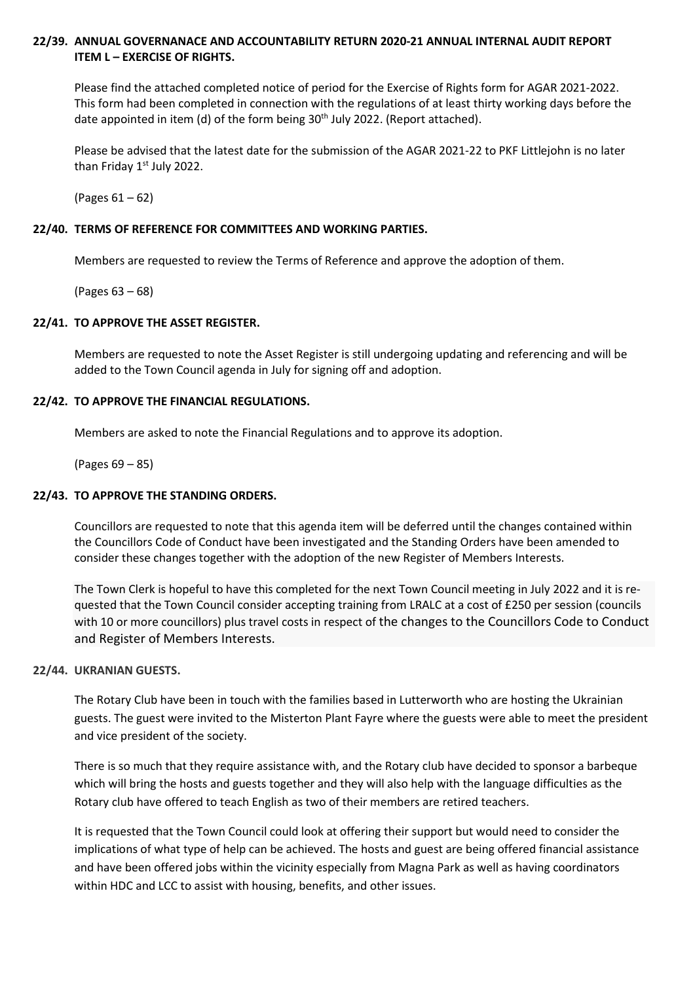## 22/39. ANNUAL GOVERNANACE AND ACCOUNTABILITY RETURN 2020-21 ANNUAL INTERNAL AUDIT REPORT ITEM L – EXERCISE OF RIGHTS.

 Please find the attached completed notice of period for the Exercise of Rights form for AGAR 2021-2022. This form had been completed in connection with the regulations of at least thirty working days before the date appointed in item (d) of the form being  $30<sup>th</sup>$  July 2022. (Report attached).

 Please be advised that the latest date for the submission of the AGAR 2021-22 to PKF Littlejohn is no later than Friday 1st July 2022.

(Pages 61 – 62)

## 22/40. TERMS OF REFERENCE FOR COMMITTEES AND WORKING PARTIES.

Members are requested to review the Terms of Reference and approve the adoption of them.

(Pages 63 – 68)

### 22/41. TO APPROVE THE ASSET REGISTER.

 Members are requested to note the Asset Register is still undergoing updating and referencing and will be added to the Town Council agenda in July for signing off and adoption.

### 22/42. TO APPROVE THE FINANCIAL REGULATIONS.

Members are asked to note the Financial Regulations and to approve its adoption.

(Pages 69 – 85)

## 22/43. TO APPROVE THE STANDING ORDERS.

 Councillors are requested to note that this agenda item will be deferred until the changes contained within the Councillors Code of Conduct have been investigated and the Standing Orders have been amended to consider these changes together with the adoption of the new Register of Members Interests.

The Town Clerk is hopeful to have this completed for the next Town Council meeting in July 2022 and it is requested that the Town Council consider accepting training from LRALC at a cost of £250 per session (councils with 10 or more councillors) plus travel costs in respect of the changes to the Councillors Code to Conduct and Register of Members Interests.

#### 22/44. UKRANIAN GUESTS.

The Rotary Club have been in touch with the families based in Lutterworth who are hosting the Ukrainian guests. The guest were invited to the Misterton Plant Fayre where the guests were able to meet the president and vice president of the society.

There is so much that they require assistance with, and the Rotary club have decided to sponsor a barbeque which will bring the hosts and guests together and they will also help with the language difficulties as the Rotary club have offered to teach English as two of their members are retired teachers.

It is requested that the Town Council could look at offering their support but would need to consider the implications of what type of help can be achieved. The hosts and guest are being offered financial assistance and have been offered jobs within the vicinity especially from Magna Park as well as having coordinators within HDC and LCC to assist with housing, benefits, and other issues.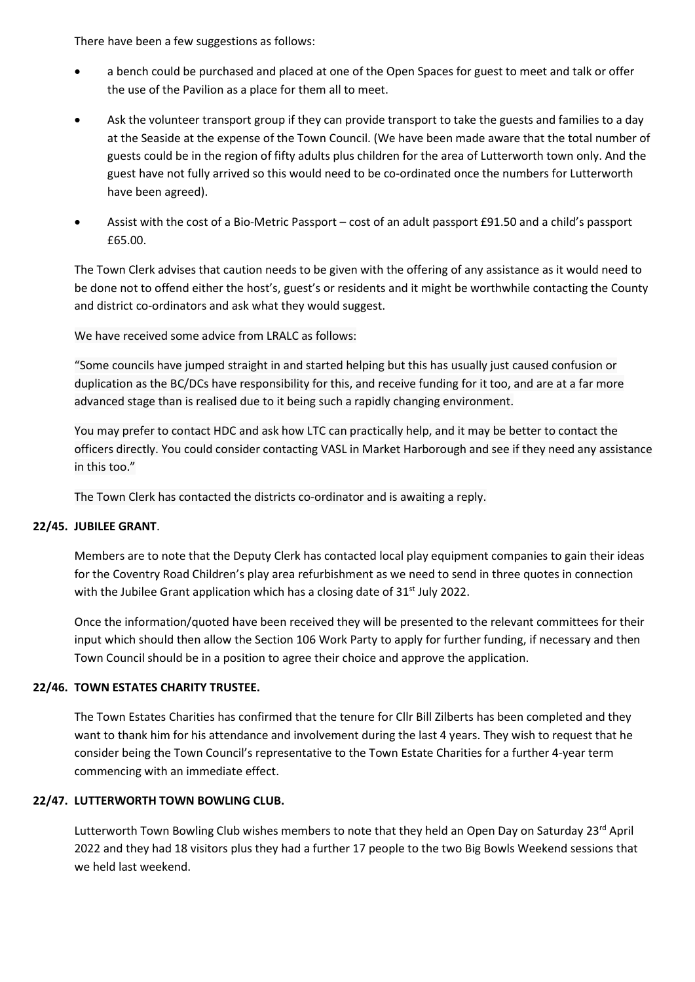There have been a few suggestions as follows:

- a bench could be purchased and placed at one of the Open Spaces for guest to meet and talk or offer the use of the Pavilion as a place for them all to meet.
- Ask the volunteer transport group if they can provide transport to take the guests and families to a day at the Seaside at the expense of the Town Council. (We have been made aware that the total number of guests could be in the region of fifty adults plus children for the area of Lutterworth town only. And the guest have not fully arrived so this would need to be co-ordinated once the numbers for Lutterworth have been agreed).
- Assist with the cost of a Bio-Metric Passport cost of an adult passport £91.50 and a child's passport £65.00.

The Town Clerk advises that caution needs to be given with the offering of any assistance as it would need to be done not to offend either the host's, guest's or residents and it might be worthwhile contacting the County and district co-ordinators and ask what they would suggest.

We have received some advice from LRALC as follows:

"Some councils have jumped straight in and started helping but this has usually just caused confusion or duplication as the BC/DCs have responsibility for this, and receive funding for it too, and are at a far more advanced stage than is realised due to it being such a rapidly changing environment.

You may prefer to contact HDC and ask how LTC can practically help, and it may be better to contact the officers directly. You could consider contacting VASL in Market Harborough and see if they need any assistance in this too."

The Town Clerk has contacted the districts co-ordinator and is awaiting a reply.

## 22/45. JUBILEE GRANT.

Members are to note that the Deputy Clerk has contacted local play equipment companies to gain their ideas for the Coventry Road Children's play area refurbishment as we need to send in three quotes in connection with the Jubilee Grant application which has a closing date of  $31<sup>st</sup>$  July 2022.

Once the information/quoted have been received they will be presented to the relevant committees for their input which should then allow the Section 106 Work Party to apply for further funding, if necessary and then Town Council should be in a position to agree their choice and approve the application.

#### 22/46. TOWN ESTATES CHARITY TRUSTEE.

The Town Estates Charities has confirmed that the tenure for Cllr Bill Zilberts has been completed and they want to thank him for his attendance and involvement during the last 4 years. They wish to request that he consider being the Town Council's representative to the Town Estate Charities for a further 4-year term commencing with an immediate effect.

#### 22/47. LUTTERWORTH TOWN BOWLING CLUB.

Lutterworth Town Bowling Club wishes members to note that they held an Open Day on Saturday 23rd April 2022 and they had 18 visitors plus they had a further 17 people to the two Big Bowls Weekend sessions that we held last weekend.